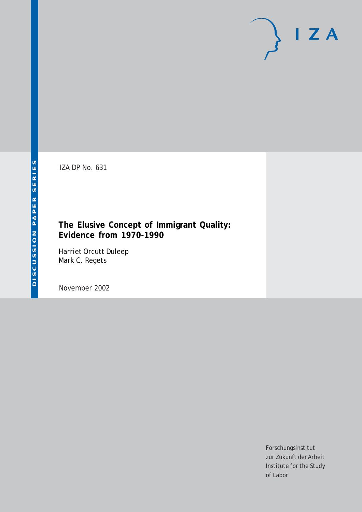# $I Z A$

IZA DP No. 631

#### **The Elusive Concept of Immigrant Quality: Evidence from 1970-1990**

Harriet Orcutt Duleep Mark C. Regets

November 2002

Forschungsinstitut zur Zukunft der Arbeit Institute for the Study of Labor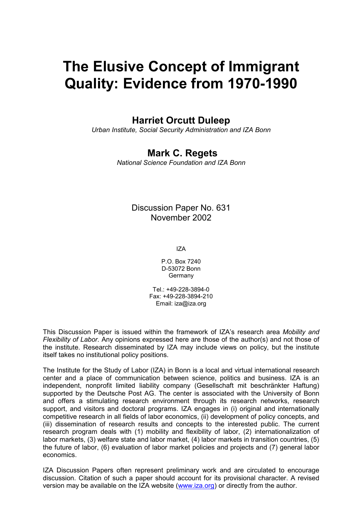# **The Elusive Concept of Immigrant Quality: Evidence from 1970-1990**

### **Harriet Orcutt Duleep**

*Urban Institute, Social Security Administration and IZA Bonn* 

#### **Mark C. Regets**

*National Science Foundation and IZA Bonn*

#### Discussion Paper No. 631 November 2002

IZA

P.O. Box 7240 D-53072 Bonn Germany

Tel.: +49-228-3894-0 Fax: +49-228-3894-210 Email: [iza@iza.org](mailto:iza@iza.org)

This Discussion Paper is issued within the framework of IZA's research area *Mobility and Flexibility of Labor.* Any opinions expressed here are those of the author(s) and not those of the institute. Research disseminated by IZA may include views on policy, but the institute itself takes no institutional policy positions.

The Institute for the Study of Labor (IZA) in Bonn is a local and virtual international research center and a place of communication between science, politics and business. IZA is an independent, nonprofit limited liability company (Gesellschaft mit beschränkter Haftung) supported by the Deutsche Post AG. The center is associated with the University of Bonn and offers a stimulating research environment through its research networks, research support, and visitors and doctoral programs. IZA engages in (i) original and internationally competitive research in all fields of labor economics, (ii) development of policy concepts, and (iii) dissemination of research results and concepts to the interested public. The current research program deals with (1) mobility and flexibility of labor, (2) internationalization of labor markets, (3) welfare state and labor market, (4) labor markets in transition countries, (5) the future of labor, (6) evaluation of labor market policies and projects and (7) general labor economics.

IZA Discussion Papers often represent preliminary work and are circulated to encourage discussion. Citation of such a paper should account for its provisional character. A revised version may be available on the IZA website ([www.iza.org](http://www.iza.org/)) or directly from the author.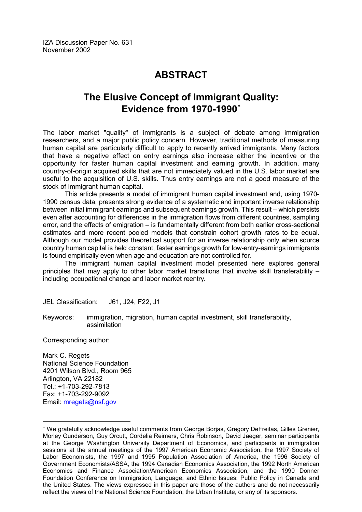## **ABSTRACT**

## **The Elusive Concept of Immigrant Quality: Evidence from 1970-1990**

The labor market "quality" of immigrants is a subject of debate among immigration researchers, and a major public policy concern. However, traditional methods of measuring human capital are particularly difficult to apply to recently arrived immigrants. Many factors that have a negative effect on entry earnings also increase either the incentive or the opportunity for faster human capital investment and earning growth. In addition, many country-of-origin acquired skills that are not immediately valued in the U.S. labor market are useful to the acquisition of U.S. skills. Thus entry earnings are not a good measure of the stock of immigrant human capital.

 This article presents a model of immigrant human capital investment and, using 1970- 1990 census data, presents strong evidence of a systematic and important inverse relationship between initial immigrant earnings and subsequent earnings growth. This result – which persists even after accounting for differences in the immigration flows from different countries, sampling error, and the effects of emigration – is fundamentally different from both earlier cross-sectional estimates and more recent pooled models that constrain cohort growth rates to be equal. Although our model provides theoretical support for an inverse relationship only when source country human capital is held constant, faster earnings growth for low-entry-earnings immigrants is found empirically even when age and education are not controlled for.

 The immigrant human capital investment model presented here explores general principles that may apply to other labor market transitions that involve skill transferability – including occupational change and labor market reentry.

JEL Classification: J61, J24, F22, J1

Keywords: immigration, migration, human capital investment, skill transferability, assimilation

Corresponding author:

 $\overline{a}$ 

Mark C. Regets National Science Foundation 4201 Wilson Blvd., Room 965 Arlington, VA 22182 Tel.: +1-703-292-7813 Fax: +1-703-292-9092 Email: [mregets@nsf.gov](mailto:mregets@nsf.gov)

<span id="page-2-0"></span> We gratefully acknowledge useful comments from George Borjas, Gregory DeFreitas, Gilles Grenier, Morley Gunderson, Guy Orcutt, Cordelia Reimers, Chris Robinson, David Jaeger, seminar participants at the George Washington University Department of Economics, and participants in immigration sessions at the annual meetings of the 1997 American Economic Association, the 1997 Society of Labor Economists, the 1997 and 1995 Population Association of America, the 1996 Society of Government Economists/ASSA, the 1994 Canadian Economics Association, the 1992 North American Economics and Finance Association/American Economics Association, and the 1990 Donner Foundation Conference on Immigration, Language, and Ethnic Issues: Public Policy in Canada and the United States. The views expressed in this paper are those of the authors and do not necessarily reflect the views of the National Science Foundation, the Urban Institute, or any of its sponsors.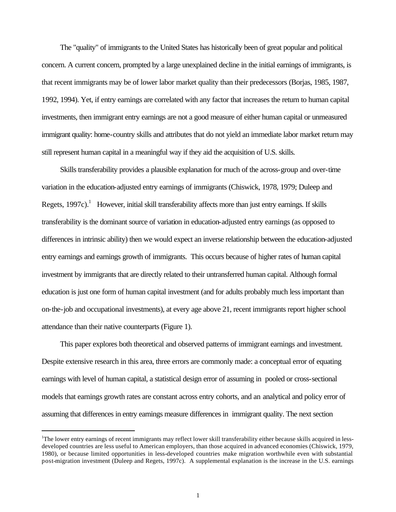The "quality" of immigrants to the United States has historically been of great popular and political concern. A current concern, prompted by a large unexplained decline in the initial earnings of immigrants, is that recent immigrants may be of lower labor market quality than their predecessors (Borjas, 1985, 1987, 1992, 1994). Yet, if entry earnings are correlated with any factor that increases the return to human capital investments, then immigrant entry earnings are not a good measure of either human capital or unmeasured immigrant quality: home-country skills and attributes that do not yield an immediate labor market return may still represent human capital in a meaningful way if they aid the acquisition of U.S. skills.

Skills transferability provides a plausible explanation for much of the across-group and over-time variation in the education-adjusted entry earnings of immigrants (Chiswick, 1978, 1979; Duleep and Regets,  $1997c$ ).<sup>1</sup> However, initial skill transferability affects more than just entry earnings. If skills transferability is the dominant source of variation in education-adjusted entry earnings (as opposed to differences in intrinsic ability) then we would expect an inverse relationship between the education-adjusted entry earnings and earnings growth of immigrants. This occurs because of higher rates of human capital investment by immigrants that are directly related to their untransferred human capital. Although formal education is just one form of human capital investment (and for adults probably much less important than on-the-job and occupational investments), at every age above 21, recent immigrants report higher school attendance than their native counterparts (Figure 1).

This paper explores both theoretical and observed patterns of immigrant earnings and investment. Despite extensive research in this area, three errors are commonly made: a conceptual error of equating earnings with level of human capital, a statistical design error of assuming in pooled or cross-sectional models that earnings growth rates are constant across entry cohorts, and an analytical and policy error of assuming that differences in entry earnings measure differences in immigrant quality. The next section

l

<sup>&</sup>lt;sup>1</sup>The lower entry earnings of recent immigrants may reflect lower skill transferability either because skills acquired in lessdeveloped countries are less useful to American employers, than those acquired in advanced economies (Chiswick, 1979, 1980), or because limited opportunities in less-developed countries make migration worthwhile even with substantial post-migration investment (Duleep and Regets, 1997c). A supplemental explanation is the increase in the U.S. earnings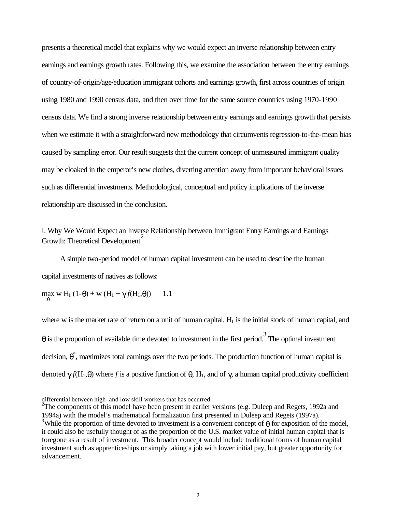presents a theoretical model that explains why we would expect an inverse relationship between entry earnings and earnings growth rates. Following this, we examine the association between the entry earnings of country-of-origin/age/education immigrant cohorts and earnings growth, first across countries of origin using 1980 and 1990 census data, and then over time for the same source countries using 1970-1990 census data. We find a strong inverse relationship between entry earnings and earnings growth that persists when we estimate it with a straightforward new methodology that circumvents regression-to-the-mean bias caused by sampling error. Our result suggests that the current concept of unmeasured immigrant quality may be cloaked in the emperor's new clothes, diverting attention away from important behavioral issues such as differential investments. Methodological, conceptual and policy implications of the inverse relationship are discussed in the conclusion.

I. Why We Would Expect an Inverse Relationship between Immigrant Entry Earnings and Earnings Growth: Theoretical Development<sup>2</sup>

A simple two-period model of human capital investment can be used to describe the human capital investments of natives as follows:

 $\max_{\theta}$  w H<sub>1</sub> (1-θ) + w (H<sub>1</sub> + γ *f*(H<sub>1</sub>,θ)) 1.1

j

where w is the market rate of return on a unit of human capital, H<sub>1</sub> is the initial stock of human capital, and  $\theta$  is the proportion of available time devoted to investment in the first period.<sup>3</sup> The optimal investment decision,  $\theta^*$ , maximizes total earnings over the two periods. The production function of human capital is denoted  $\gamma f(H_1,\theta)$  where *f* is a positive function of  $\theta$ , H<sub>1</sub>, and of  $\gamma$ , a human capital productivity coefficient

differential between high- and low-skill workers that has occurred.

<sup>&</sup>lt;sup>2</sup>The components of this model have been present in earlier versions (e.g. Duleep and Regets, 1992a and 1994a) with the model's mathematical formalization first presented in Duleep and Regets (1997a). <sup>3</sup>While the proportion of time devoted to investment is a convenient concept of  $\theta$  for exposition of the model, it could also be usefully thought of as the proportion of the U.S. market value of initial human capital that is foregone as a result of investment. This broader concept would include traditional forms of human capital investment such as apprenticeships or simply taking a job with lower initial pay, but greater opportunity for advancement.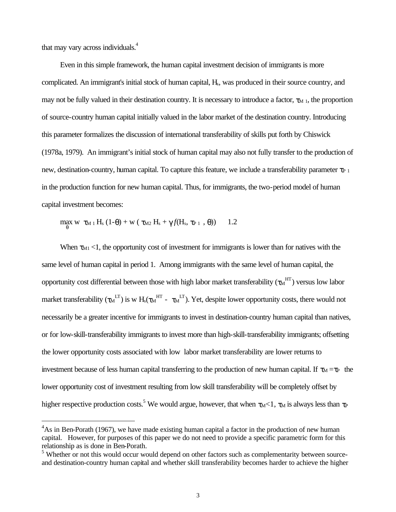that may vary across individuals.<sup>4</sup>

 $\overline{\phantom{a}}$ 

Even in this simple framework, the human capital investment decision of immigrants is more complicated. An immigrant's initial stock of human capital, Hs, was produced in their source country, and may not be fully valued in their destination country. It is necessary to introduce a factor,  $\tau_{\text{M 1}}$ , the proportion of source-country human capital initially valued in the labor market of the destination country. Introducing this parameter formalizes the discussion of international transferability of skills put forth by Chiswick (1978a, 1979). An immigrant's initial stock of human capital may also not fully transfer to the production of new, destination-country, human capital. To capture this feature, we include a transferability parameter  $\tau_{P1}$ in the production function for new human capital. Thus, for immigrants, the two-period model of human capital investment becomes:

 $\max_{\theta}$  w τ<sub>M 1</sub> H<sub>s</sub> (1-θ) + w ( τ<sub>M2</sub> H<sub>s</sub> + γ *f*(H<sub>s</sub>, τ<sub>P 1</sub>, θ)) 1.2

When  $\tau_{\text{M1}}$  <1, the opportunity cost of investment for immigrants is lower than for natives with the same level of human capital in period 1. Among immigrants with the same level of human capital, the opportunity cost differential between those with high labor market transferability  $(\tau_M^{\rm HT})$  versus low labor market transferability ( $\tau_M$ <sup>LT</sup>) is w H<sub>s</sub>( $\tau_M$ <sup>HT</sup> -  $\tau_M$ <sup>LT</sup>). Yet, despite lower opportunity costs, there would not necessarily be a greater incentive for immigrants to invest in destination-country human capital than natives, or for low-skill-transferability immigrants to invest more than high-skill-transferability immigrants; offsetting the lower opportunity costs associated with low labor market transferability are lower returns to investment because of less human capital transferring to the production of new human capital. If  $\tau_M = \tau_P$  the lower opportunity cost of investment resulting from low skill transferability will be completely offset by higher respective production costs.<sup>5</sup> We would argue, however, that when  $\tau_{M}$  <1,  $\tau_{M}$  is always less than  $\tau_{P}$ 

<sup>&</sup>lt;sup>4</sup>As in Ben-Porath (1967), we have made existing human capital a factor in the production of new human capital. However, for purposes of this paper we do not need to provide a specific parametric form for this relationship as is done in Ben-Porath.

<sup>&</sup>lt;sup>5</sup> Whether or not this would occur would depend on other factors such as complementarity between sourceand destination-country human capital and whether skill transferability becomes harder to achieve the higher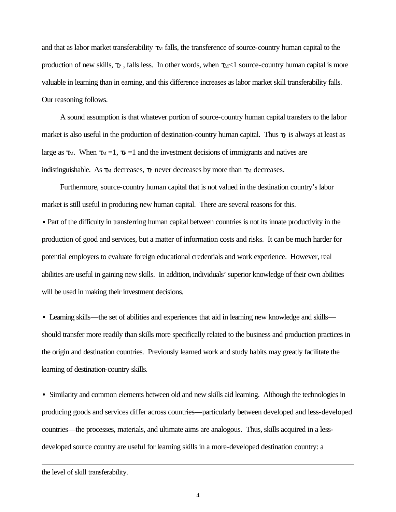and that as labor market transferability  $\tau_M$  falls, the transference of source-country human capital to the production of new skills,  $\tau_P$ , falls less. In other words, when  $\tau_M$ <1 source-country human capital is more valuable in learning than in earning, and this difference increases as labor market skill transferability falls. Our reasoning follows.

A sound assumption is that whatever portion of source-country human capital transfers to the labor market is also useful in the production of destination-country human capital. Thus  $\tau_P$  is always at least as large as  $\tau_M$ . When  $\tau_M = 1$ ,  $\tau_P = 1$  and the investment decisions of immigrants and natives are indistinguishable. As  $\tau_M$  decreases,  $\tau_P$  never decreases by more than  $\tau_M$  decreases.

Furthermore, source-country human capital that is not valued in the destination country's labor market is still useful in producing new human capital. There are several reasons for this.

• Part of the difficulty in transferring human capital between countries is not its innate productivity in the production of good and services, but a matter of information costs and risks. It can be much harder for potential employers to evaluate foreign educational credentials and work experience. However, real abilities are useful in gaining new skills. In addition, individuals' superior knowledge of their own abilities will be used in making their investment decisions.

• Learning skills—the set of abilities and experiences that aid in learning new knowledge and skills should transfer more readily than skills more specifically related to the business and production practices in the origin and destination countries. Previously learned work and study habits may greatly facilitate the learning of destination-country skills.

• Similarity and common elements between old and new skills aid learning. Although the technologies in producing goods and services differ across countries—particularly between developed and less-developed countries—the processes, materials, and ultimate aims are analogous. Thus, skills acquired in a lessdeveloped source country are useful for learning skills in a more-developed destination country: a

j

the level of skill transferability.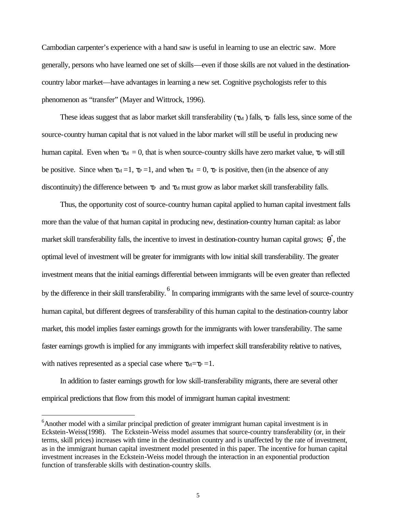Cambodian carpenter's experience with a hand saw is useful in learning to use an electric saw. More generally, persons who have learned one set of skills—even if those skills are not valued in the destinationcountry labor market—have advantages in learning a new set. Cognitive psychologists refer to this phenomenon as "transfer" (Mayer and Wittrock, 1996).

These ideas suggest that as labor market skill transferability ( $\tau_M$ ) falls,  $\tau_P$  falls less, since some of the source-country human capital that is not valued in the labor market will still be useful in producing new human capital. Even when  $\tau_M = 0$ , that is when source-country skills have zero market value,  $\tau_P$  will still be positive. Since when  $\tau_M = 1$ ,  $\tau_P = 1$ , and when  $\tau_M = 0$ ,  $\tau_P$  is positive, then (in the absence of any discontinuity) the difference between  $\tau_P$  and  $\tau_M$  must grow as labor market skill transferability falls.

Thus, the opportunity cost of source-country human capital applied to human capital investment falls more than the value of that human capital in producing new, destination-country human capital: as labor market skill transferability falls, the incentive to invest in destination-country human capital grows;  $\theta^*$ , the optimal level of investment will be greater for immigrants with low initial skill transferability. The greater investment means that the initial earnings differential between immigrants will be even greater than reflected by the difference in their skill transferability. <sup>6</sup> In comparing immigrants with the same level of source-country human capital, but different degrees of transferability of this human capital to the destination-country labor market, this model implies faster earnings growth for the immigrants with lower transferability. The same faster earnings growth is implied for any immigrants with imperfect skill transferability relative to natives, with natives represented as a special case where  $\tau_M = \tau_P = 1$ .

In addition to faster earnings growth for low skill-transferability migrants, there are several other empirical predictions that flow from this model of immigrant human capital investment:

<sup>&</sup>lt;sup>6</sup>Another model with a similar principal prediction of greater immigrant human capital investment is in Eckstein-Weiss(1998). The Eckstein-Weiss model assumes that source-country transferability (or, in their terms, skill prices) increases with time in the destination country and is unaffected by the rate of investment, as in the immigrant human capital investment model presented in this paper. The incentive for human capital investment increases in the Eckstein-Weiss model through the interaction in an exponential production function of transferable skills with destination-country skills.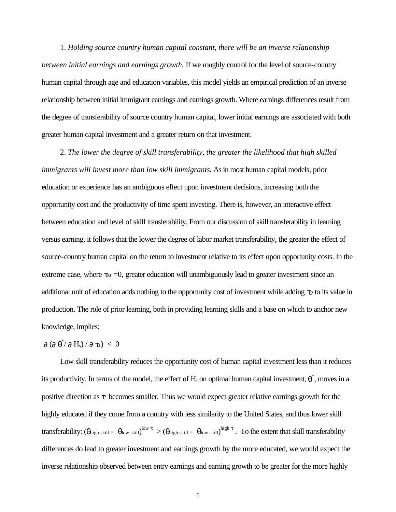1. *Holding source country human capital constant, there will be an inverse relationship between initial earnings and earnings growth.* If we roughly control for the level of source-country human capital through age and education variables, this model yields an empirical prediction of an inverse relationship between initial immigrant earnings and earnings growth. Where earnings differences result from the degree of transferability of source country human capital, lower initial earnings are associated with both greater human capital investment and a greater return on that investment.

2. *The lower the degree of skill transferability, the greater the likelihood that high skilled immigrants will invest more than low skill immigrants*. As in most human capital models, prior education or experience has an ambiguous effect upon investment decisions, increasing both the opportunity cost and the productivity of time spent investing. There is, however, an interactive effect between education and level of skill transferability. From our discussion of skill transferability in learning versus earning, it follows that the lower the degree of labor market transferability, the greater the effect of source-country human capital on the return to investment relative to its effect upon opportunity costs. In the extreme case, where  $\tau_M = 0$ , greater education will unambiguously lead to greater investment since an additional unit of education adds nothing to the opportunity cost of investment while adding  $\tau_P$  to its value in production. The role of prior learning, both in providing learning skills and a base on which to anchor new knowledge, implies:

#### $\partial$  ( $\partial$   $\theta^*$ / $\partial$  H<sub>s</sub>) /  $\partial$   $\tau_1$ )  $< 0$

Low skill transferability reduces the opportunity cost of human capital investment less than it reduces its productivity. In terms of the model, the effect of  $H_s$  on optimal human capital investment,  $\theta^*$ , moves in a positive direction as  $\tau_1$  becomes smaller. Thus we would expect greater relative earnings growth for the highly educated if they come from a country with less similarity to the United States, and thus lower skill transferability:  $(\theta_{\text{high skill}} - \theta_{\text{low skill}})^{\text{low } \tau} > (\theta_{\text{high skill}} - \theta_{\text{low skill}})^{\text{high } \tau}$ . To the extent that skill transferability differences do lead to greater investment and earnings growth by the more educated, we would expect the inverse relationship observed between entry earnings and earning growth to be greater for the more highly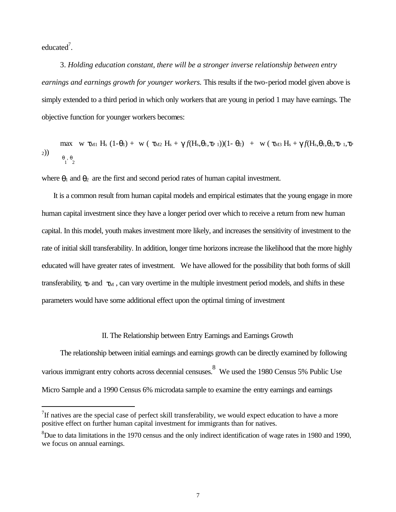educated<sup>7</sup>.

 $\overline{\phantom{a}}$ 

3. *Holding education constant, there will be a stronger inverse relationship between entry earnings and earnings growth for younger workers.* This results if the two-period model given above is simply extended to a third period in which only workers that are young in period 1 may have earnings. The objective function for younger workers becomes:

max w 
$$
\tau_{M1}
$$
 H<sub>s</sub> (1- $\theta_1$ ) + w ( $\tau_{M2}$  H<sub>s</sub> +  $\gamma f(H_s, \theta_1, \tau_{P1})$ )(1- $\theta_2$ ) + w ( $\tau_{M3}$  H<sub>s</sub> +  $\gamma f(H_s, \theta_1, \theta_2, \tau_{P1}, \tau_{P2})$ )  
\n $\theta_1, \theta_2$ 

where  $\theta_1$  and  $\theta_2$  are the first and second period rates of human capital investment.

It is a common result from human capital models and empirical estimates that the young engage in more human capital investment since they have a longer period over which to receive a return from new human capital. In this model, youth makes investment more likely, and increases the sensitivity of investment to the rate of initial skill transferability. In addition, longer time horizons increase the likelihood that the more highly educated will have greater rates of investment. We have allowed for the possibility that both forms of skill transferability,  $\tau_P$  and  $\tau_M$ , can vary overtime in the multiple investment period models, and shifts in these parameters would have some additional effect upon the optimal timing of investment

#### II. The Relationship between Entry Earnings and Earnings Growth

The relationship between initial earnings and earnings growth can be directly examined by following various immigrant entry cohorts across decennial censuses. We used the 1980 Census 5% Public Use Micro Sample and a 1990 Census 6% microdata sample to examine the entry earnings and earnings

 $7$ If natives are the special case of perfect skill transferability, we would expect education to have a more positive effect on further human capital investment for immigrants than for natives.

<sup>&</sup>lt;sup>8</sup>Due to data limitations in the 1970 census and the only indirect identification of wage rates in 1980 and 1990, we focus on annual earnings.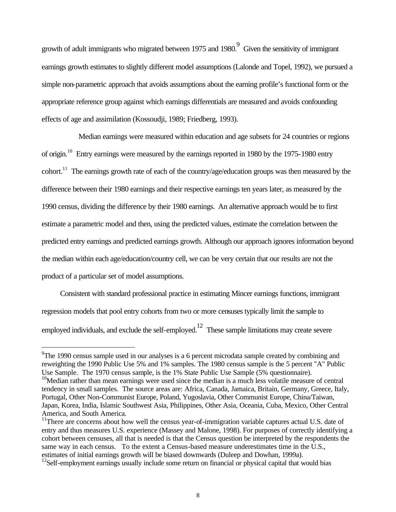growth of adult immigrants who migrated between 1975 and 1980.  $9^9$  Given the sensitivity of immigrant earnings growth estimates to slightly different model assumptions (Lalonde and Topel, 1992), we pursued a simple non-parametric approach that avoids assumptions about the earning profile's functional form or the appropriate reference group against which earnings differentials are measured and avoids confounding effects of age and assimilation (Kossoudji, 1989; Friedberg, 1993).

Median earnings were measured within education and age subsets for 24 countries or regions of origin.<sup>10</sup> Entry earnings were measured by the earnings reported in 1980 by the 1975-1980 entry cohort.<sup>11</sup> The earnings growth rate of each of the country/age/education groups was then measured by the difference between their 1980 earnings and their respective earnings ten years later, as measured by the 1990 census, dividing the difference by their 1980 earnings. An alternative approach would be to first estimate a parametric model and then, using the predicted values, estimate the correlation between the predicted entry earnings and predicted earnings growth. Although our approach ignores information beyond the median within each age/education/country cell, we can be very certain that our results are not the product of a particular set of model assumptions.

Consistent with standard professional practice in estimating Mincer earnings functions, immigrant regression models that pool entry cohorts from two or more censuses typically limit the sample to employed individuals, and exclude the self-employed.<sup>12</sup> These sample limitations may create severe

<sup>&</sup>lt;sup>9</sup>The 1990 census sample used in our analyses is a 6 percent microdata sample created by combining and reweighting the 1990 Public Use 5% and 1% samples. The 1980 census sample is the 5 percent "A" Public Use Sample. The 1970 census sample, is the 1% State Public Use Sample (5% questionnaire).

<sup>&</sup>lt;sup>10</sup>Median rather than mean earnings were used since the median is a much less volatile measure of central tendency in small samples. The source areas are: Africa, Canada, Jamaica, Britain, Germany, Greece, Italy, Portugal, Other Non-Communist Europe, Poland, Yugoslavia, Other Communist Europe, China/Taiwan, Japan, Korea, India, Islamic Southwest Asia, Philippines, Other Asia, Oceania, Cuba, Mexico, Other Central America, and South America.

<sup>&</sup>lt;sup>11</sup>There are concerns about how well the census year-of-immigration variable captures actual U.S. date of entry and thus measures U.S. experience (Massey and Malone, 1998). For purposes of correctly identifying a cohort between censuses, all that is needed is that the Census question be interpreted by the respondents the same way in each census. To the extent a Census-based measure underestimates time in the U.S., estimates of initial earnings growth will be biased downwards (Duleep and Dowhan, 1999a).

 $12$ Self-employment earnings usually include some return on financial or physical capital that would bias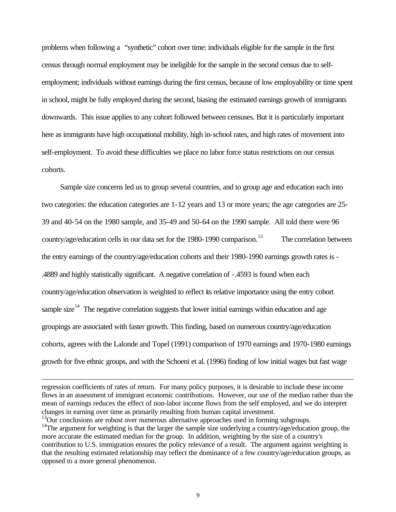problems when following a "synthetic" cohort over time: individuals eligible for the sample in the first census through normal employment may be ineligible for the sample in the second census due to selfemployment; individuals without earnings during the first census, because of low employability or time spent in school, might be fully employed during the second, biasing the estimated earnings growth of immigrants downwards. This issue applies to any cohort followed between censuses. But it is particularly important here as immigrants have high occupational mobility, high in-school rates, and high rates of movement into self-employment. To avoid these difficulties we place no labor force status restrictions on our census cohorts.

Sample size concerns led us to group several countries, and to group age and education each into two categories: the education categories are 1-12 years and 13 or more years; the age categories are 25- 39 and 40-54 on the 1980 sample, and 35-49 and 50-64 on the 1990 sample. All told there were 96 country/age/education cells in our data set for the 1980-1990 comparison.<sup>13</sup> The correlation between the entry earnings of the country/age/education cohorts and their 1980-1990 earnings growth rates is - .4889 and highly statistically significant. A negative correlation of -.4593 is found when each country/age/education observation is weighted to reflect its relative importance using the entry cohort sample size<sup>14</sup> The negative correlation suggests that lower initial earnings within education and age groupings are associated with faster growth. This finding, based on numerous country/age/education cohorts, agrees with the Lalonde and Topel (1991) comparison of 1970 earnings and 1970-1980 earnings growth for five ethnic groups, and with the Schoeni et al. (1996) finding of low initial wages but fast wage

j

regression coefficients of rates of return. For many policy purposes, it is desirable to include these income flows in an assessment of immigrant economic contributions. However, our use of the median rather than the mean of earnings reduces the effect of non-labor income flows from the self employed, and we do interpret changes in earning over time as primarily resulting from human capital investment.

 $13$ Our conclusions are robust over numerous alternative approaches used in forming subgroups.

<sup>&</sup>lt;sup>14</sup>The argument for weighting is that the larger the sample size underlying a country/age/education group, the more accurate the estimated median for the group. In addition, weighting by the size of a country's contribution to U.S. immigration ensures the policy relevance of a result. The argument against weighting is that the resulting estimated relationship may reflect the dominance of a few country/age/education groups, as opposed to a more general phenomenon.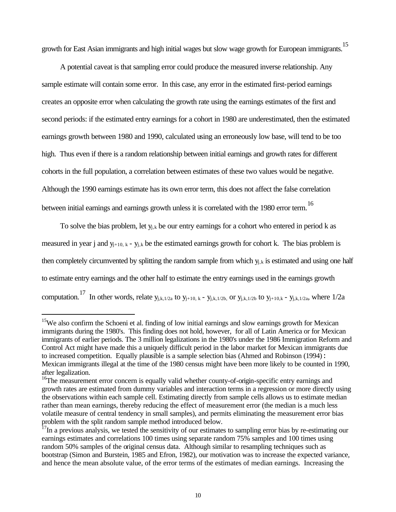growth for East Asian immigrants and high initial wages but slow wage growth for European immigrants.<sup>15</sup>

A potential caveat is that sampling error could produce the measured inverse relationship. Any sample estimate will contain some error. In this case, any error in the estimated first-period earnings creates an opposite error when calculating the growth rate using the earnings estimates of the first and second periods: if the estimated entry earnings for a cohort in 1980 are underestimated, then the estimated earnings growth between 1980 and 1990, calculated using an erroneously low base, will tend to be too high. Thus even if there is a random relationship between initial earnings and growth rates for different cohorts in the full population, a correlation between estimates of these two values would be negative. Although the 1990 earnings estimate has its own error term, this does not affect the false correlation between initial earnings and earnings growth unless it is correlated with the 1980 error term.<sup>16</sup>

To solve the bias problem, let  $y_{i,k}$  be our entry earnings for a cohort who entered in period k as measured in year j and  $y_{j+10, k}$  -  $y_{j,k}$  be the estimated earnings growth for cohort k. The bias problem is then completely circumvented by splitting the random sample from which  $y_{i,k}$  is estimated and using one half to estimate entry earnings and the other half to estimate the entry earnings used in the earnings growth computation.<sup>17</sup> In other words, relate  $y_{j,k,1/2a}$  to  $y_{j+10, k}$  -  $y_{j,k,1/2b}$ , or  $y_{j,k,1/2b}$  to  $y_{j+10,k}$  -  $y_{j,k,1/2a}$ , where 1/2a

<sup>&</sup>lt;sup>15</sup>We also confirm the Schoeni et al. finding of low initial earnings and slow earnings growth for Mexican immigrants during the 1980's. This finding does not hold, however, for all of Latin America or for Mexican immigrants of earlier periods. The 3 million legalizations in the 1980's under the 1986 Immigration Reform and Control Act might have made this a uniquely difficult period in the labor market for Mexican immigrants due to increased competition. Equally plausible is a sample selection bias (Ahmed and Robinson (1994): Mexican immigrants illegal at the time of the 1980 census might have been more likely to be counted in 1990, after legalization.

<sup>&</sup>lt;sup>16</sup>The measurement error concern is equally valid whether county-of-origin-specific entry earnings and growth rates are estimated from dummy variables and interaction terms in a regression or more directly using the observations within each sample cell. Estimating directly from sample cells allows us to estimate median rather than mean earnings, thereby reducing the effect of measurement error (the median is a much less volatile measure of central tendency in small samples), and permits eliminating the measurement error bias problem with the split random sample method introduced below.

 $17$ In a previous analysis, we tested the sensitivity of our estimates to sampling error bias by re-estimating our earnings estimates and correlations 100 times using separate random 75% samples and 100 times using random 50% samples of the original census data. Although similar to resampling techniques such as bootstrap (Simon and Burstein, 1985 and Efron, 1982), our motivation was to increase the expected variance, and hence the mean absolute value, of the error terms of the estimates of median earnings. Increasing the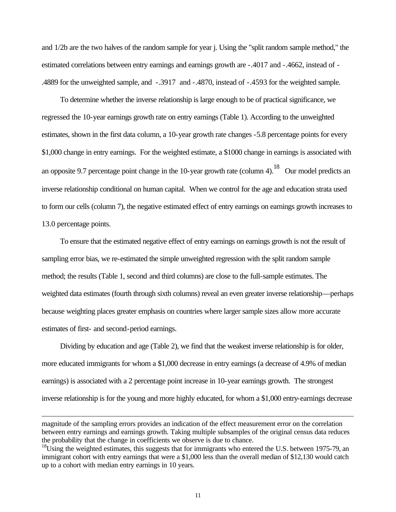and 1/2b are the two halves of the random sample for year j. Using the "split random sample method," the estimated correlations between entry earnings and earnings growth are -.4017 and -.4662, instead of - .4889 for the unweighted sample, and -.3917 and -.4870, instead of -.4593 for the weighted sample.

To determine whether the inverse relationship is large enough to be of practical significance, we regressed the 10-year earnings growth rate on entry earnings (Table 1). According to the unweighted estimates, shown in the first data column, a 10-year growth rate changes -5.8 percentage points for every \$1,000 change in entry earnings. For the weighted estimate, a \$1000 change in earnings is associated with an opposite 9.7 percentage point change in the 10-year growth rate (column 4).<sup>18</sup> Our model predicts an inverse relationship conditional on human capital. When we control for the age and education strata used to form our cells (column 7), the negative estimated effect of entry earnings on earnings growth increases to 13.0 percentage points.

To ensure that the estimated negative effect of entry earnings on earnings growth is not the result of sampling error bias, we re-estimated the simple unweighted regression with the split random sample method; the results (Table 1, second and third columns) are close to the full-sample estimates. The weighted data estimates (fourth through sixth columns) reveal an even greater inverse relationship—perhaps because weighting places greater emphasis on countries where larger sample sizes allow more accurate estimates of first- and second-period earnings.

Dividing by education and age (Table 2), we find that the weakest inverse relationship is for older, more educated immigrants for whom a \$1,000 decrease in entry earnings (a decrease of 4.9% of median earnings) is associated with a 2 percentage point increase in 10-year earnings growth. The strongest inverse relationship is for the young and more highly educated, for whom a \$1,000 entry-earnings decrease

j

magnitude of the sampling errors provides an indication of the effect measurement error on the correlation between entry earnings and earnings growth. Taking multiple subsamples of the original census data reduces the probability that the change in coefficients we observe is due to chance.

 $^{18}$ Using the weighted estimates, this suggests that for immigrants who entered the U.S. between 1975-79, an immigrant cohort with entry earnings that were a \$1,000 less than the overall median of \$12,130 would catch up to a cohort with median entry earnings in 10 years.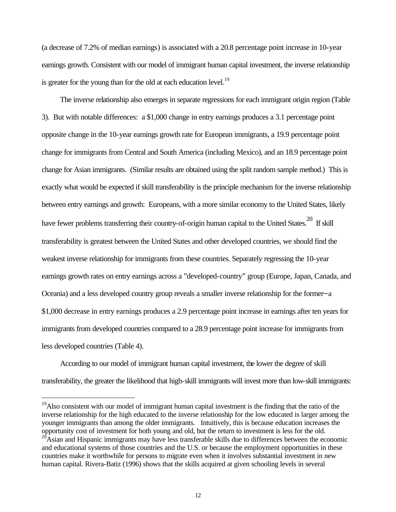(a decrease of 7.2% of median earnings) is associated with a 20.8 percentage point increase in 10-year earnings growth. Consistent with our model of immigrant human capital investment, the inverse relationship is greater for the young than for the old at each education level.<sup>19</sup>

The inverse relationship also emerges in separate regressions for each immigrant origin region (Table 3). But with notable differences: a \$1,000 change in entry earnings produces a 3.1 percentage point opposite change in the 10-year earnings growth rate for European immigrants, a 19.9 percentage point change for immigrants from Central and South America (including Mexico), and an 18.9 percentage point change for Asian immigrants. (Similar results are obtained using the split random sample method.) This is exactly what would be expected if skill transferability is the principle mechanism for the inverse relationship between entry earnings and growth: Europeans, with a more similar economy to the United States, likely have fewer problems transferring their country-of-origin human capital to the United States.<sup>20</sup> If skill transferability is greatest between the United States and other developed countries, we should find the weakest inverse relationship for immigrants from these countries. Separately regressing the 10-year earnings growth rates on entry earnings across a "developed-country" group (Europe, Japan, Canada, and Oceania) and a less developed country group reveals a smaller inverse relationship for the former—a \$1,000 decrease in entry earnings produces a 2.9 percentage point increase in earnings after ten years for immigrants from developed countries compared to a 28.9 percentage point increase for immigrants from less developed countries (Table 4).

According to our model of immigrant human capital investment, the lower the degree of skill transferability, the greater the likelihood that high-skill immigrants will invest more than low-skill immigrants:

<sup>&</sup>lt;sup>19</sup>Also consistent with our model of immigrant human capital investment is the finding that the ratio of the inverse relationship for the high educated to the inverse relationship for the low educated is larger among the younger immigrants than among the older immigrants. Intuitively, this is because education increases the opportunity cost of investment for both young and old, but the return to investment is less for the old.

 $^{20}$ Asian and Hispanic immigrants may have less transferable skills due to differences between the economic and educational systems of those countries and the U.S. or because the employment opportunities in these countries make it worthwhile for persons to migrate even when it involves substantial investment in new human capital. Rivera-Batiz (1996) shows that the skills acquired at given schooling levels in several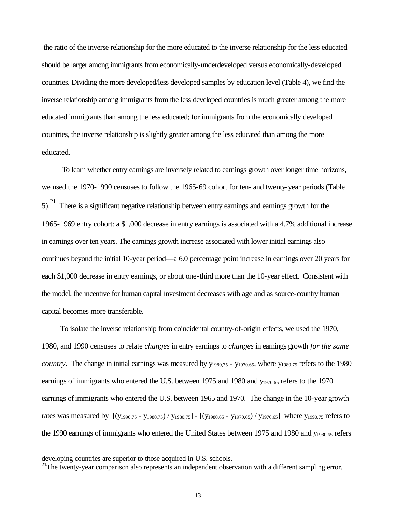the ratio of the inverse relationship for the more educated to the inverse relationship for the less educated should be larger among immigrants from economically-underdeveloped versus economically-developed countries. Dividing the more developed/less developed samples by education level (Table 4), we find the inverse relationship among immigrants from the less developed countries is much greater among the more educated immigrants than among the less educated; for immigrants from the economically developed countries, the inverse relationship is slightly greater among the less educated than among the more educated.

 To learn whether entry earnings are inversely related to earnings growth over longer time horizons, we used the 1970-1990 censuses to follow the 1965-69 cohort for ten- and twenty-year periods (Table  $5)$ .<sup>21</sup> There is a significant negative relationship between entry earnings and earnings growth for the 1965-1969 entry cohort: a \$1,000 decrease in entry earnings is associated with a 4.7% additional increase in earnings over ten years. The earnings growth increase associated with lower initial earnings also continues beyond the initial 10-year period—a 6.0 percentage point increase in earnings over 20 years for each \$1,000 decrease in entry earnings, or about one-third more than the 10-year effect. Consistent with the model, the incentive for human capital investment decreases with age and as source-country human capital becomes more transferable.

To isolate the inverse relationship from coincidental country-of-origin effects, we used the 1970, 1980, and 1990 censuses to relate *changes* in entry earnings to *changes* in earnings growth *for the same country*. The change in initial earnings was measured by  $y_{1980,75}$  -  $y_{1970,65}$ , where  $y_{1980,75}$  refers to the 1980 earnings of immigrants who entered the U.S. between 1975 and 1980 and  $y_{1970.65}$  refers to the 1970 earnings of immigrants who entered the U.S. between 1965 and 1970. The change in the 10-year growth rates was measured by [(y1990,75 - y1980,75) / y1980,75] - [(y1980,65 - y1970,65) / y1970,65] where y1990,75 refers to the 1990 earnings of immigrants who entered the United States between 1975 and 1980 and y1980,65 refers

j

developing countries are superior to those acquired in U.S. schools.

<sup>&</sup>lt;sup>21</sup>The twenty-year comparison also represents an independent observation with a different sampling error.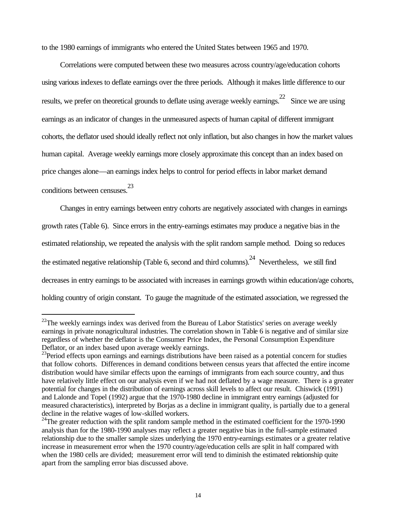to the 1980 earnings of immigrants who entered the United States between 1965 and 1970.

Correlations were computed between these two measures across country/age/education cohorts using various indexes to deflate earnings over the three periods. Although it makes little difference to our results, we prefer on theoretical grounds to deflate using average weekly earnings.<sup>22</sup> Since we are using earnings as an indicator of changes in the unmeasured aspects of human capital of different immigrant cohorts, the deflator used should ideally reflect not only inflation, but also changes in how the market values human capital. Average weekly earnings more closely approximate this concept than an index based on price changes alone—an earnings index helps to control for period effects in labor market demand conditions between censuses.<sup>23</sup>

Changes in entry earnings between entry cohorts are negatively associated with changes in earnings growth rates (Table 6). Since errors in the entry-earnings estimates may produce a negative bias in the estimated relationship, we repeated the analysis with the split random sample method. Doing so reduces the estimated negative relationship (Table 6, second and third columns).<sup>24</sup> Nevertheless, we still find decreases in entry earnings to be associated with increases in earnings growth within education/age cohorts, holding country of origin constant. To gauge the magnitude of the estimated association, we regressed the

 $22$ The weekly earnings index was derived from the Bureau of Labor Statistics' series on average weekly earnings in private nonagricultural industries. The correlation shown in Table 6 is negative and of similar size regardless of whether the deflator is the Consumer Price Index, the Personal Consumption Expenditure Deflator, or an index based upon average weekly earnings.

<sup>&</sup>lt;sup>23</sup>Period effects upon earnings and earnings distributions have been raised as a potential concern for studies that follow cohorts. Differences in demand conditions between census years that affected the entire income distribution would have similar effects upon the earnings of immigrants from each source country, and thus have relatively little effect on our analysis even if we had not deflated by a wage measure. There is a greater potential for changes in the distribution of earnings across skill levels to affect our result. Chiswick (1991) and Lalonde and Topel (1992) argue that the 1970-1980 decline in immigrant entry earnings (adjusted for measured characteristics), interpreted by Borjas as a decline in immigrant quality, is partially due to a general decline in the relative wages of low-skilled workers.

<sup>&</sup>lt;sup>24</sup>The greater reduction with the split random sample method in the estimated coefficient for the 1970-1990 analysis than for the 1980-1990 analyses may reflect a greater negative bias in the full-sample estimated relationship due to the smaller sample sizes underlying the 1970 entry-earnings estimates or a greater relative increase in measurement error when the 1970 country/age/education cells are split in half compared with when the 1980 cells are divided; measurement error will tend to diminish the estimated relationship quite apart from the sampling error bias discussed above.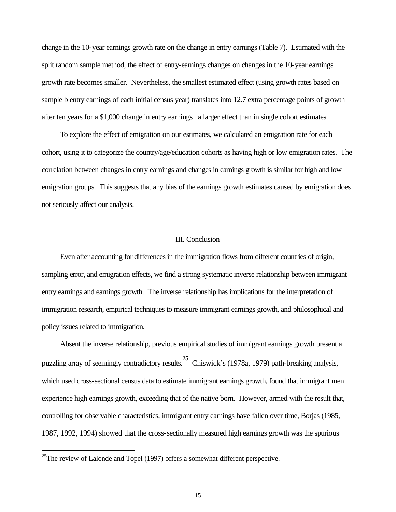change in the 10-year earnings growth rate on the change in entry earnings (Table 7). Estimated with the split random sample method, the effect of entry-earnings changes on changes in the 10-year earnings growth rate becomes smaller. Nevertheless, the smallest estimated effect (using growth rates based on sample b entry earnings of each initial census year) translates into 12.7 extra percentage points of growth after ten years for a \$1,000 change in entry earnings—a larger effect than in single cohort estimates.

To explore the effect of emigration on our estimates, we calculated an emigration rate for each cohort, using it to categorize the country/age/education cohorts as having high or low emigration rates. The correlation between changes in entry earnings and changes in earnings growth is similar for high and low emigration groups. This suggests that any bias of the earnings growth estimates caused by emigration does not seriously affect our analysis.

#### III. Conclusion

Even after accounting for differences in the immigration flows from different countries of origin, sampling error, and emigration effects, we find a strong systematic inverse relationship between immigrant entry earnings and earnings growth. The inverse relationship has implications for the interpretation of immigration research, empirical techniques to measure immigrant earnings growth, and philosophical and policy issues related to immigration.

Absent the inverse relationship, previous empirical studies of immigrant earnings growth present a puzzling array of seemingly contradictory results.25 Chiswick's (1978a, 1979) path-breaking analysis, which used cross-sectional census data to estimate immigrant earnings growth, found that immigrant men experience high earnings growth, exceeding that of the native born. However, armed with the result that, controlling for observable characteristics, immigrant entry earnings have fallen over time, Borjas (1985, 1987, 1992, 1994) showed that the cross-sectionally measured high earnings growth was the spurious

<sup>&</sup>lt;sup>25</sup>The review of Lalonde and Topel (1997) offers a somewhat different perspective.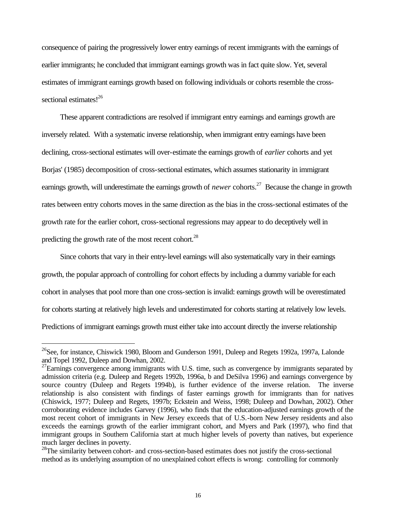consequence of pairing the progressively lower entry earnings of recent immigrants with the earnings of earlier immigrants; he concluded that immigrant earnings growth was in fact quite slow. Yet, several estimates of immigrant earnings growth based on following individuals or cohorts resemble the crosssectional estimates!<sup>26</sup>

These apparent contradictions are resolved if immigrant entry earnings and earnings growth are inversely related. With a systematic inverse relationship, when immigrant entry earnings have been declining, cross-sectional estimates will over-estimate the earnings growth of *earlier* cohorts and yet Borjas' (1985) decomposition of cross-sectional estimates, which assumes stationarity in immigrant earnings growth, will underestimate the earnings growth of *newer* cohorts.<sup>27</sup> Because the change in growth rates between entry cohorts moves in the same direction as the bias in the cross-sectional estimates of the growth rate for the earlier cohort, cross-sectional regressions may appear to do deceptively well in predicting the growth rate of the most recent cohort. $^{28}$ 

Since cohorts that vary in their entry-level earnings will also systematically vary in their earnings growth, the popular approach of controlling for cohort effects by including a dummy variable for each cohort in analyses that pool more than one cross-section is invalid: earnings growth will be overestimated for cohorts starting at relatively high levels and underestimated for cohorts starting at relatively low levels. Predictions of immigrant earnings growth must either take into account directly the inverse relationship

<sup>&</sup>lt;sup>26</sup>See, for instance, Chiswick 1980, Bloom and Gunderson 1991, Duleep and Regets 1992a, 1997a, Lalonde and Topel 1992, Duleep and Dowhan, 2002.

 $^{27}$ Earnings convergence among immigrants with U.S. time, such as convergence by immigrants separated by admission criteria (e.g. Duleep and Regets 1992b, 1996a, b and DeSilva 1996) and earnings convergence by source country (Duleep and Regets 1994b), is further evidence of the inverse relation. The inverse relationship is also consistent with findings of faster earnings growth for immigrants than for natives (Chiswick, 1977; Duleep and Regets, 1997b; Eckstein and Weiss, 1998; Duleep and Dowhan, 2002). Other corroborating evidence includes Garvey (1996), who finds that the education-adjusted earnings growth of the most recent cohort of immigrants in New Jersey exceeds that of U.S.-born New Jersey residents and also exceeds the earnings growth of the earlier immigrant cohort, and Myers and Park (1997), who find that immigrant groups in Southern California start at much higher levels of poverty than natives, but experience much larger declines in poverty.

<sup>&</sup>lt;sup>28</sup>The similarity between cohort- and cross-section-based estimates does not justify the cross-sectional method as its underlying assumption of no unexplained cohort effects is wrong: controlling for commonly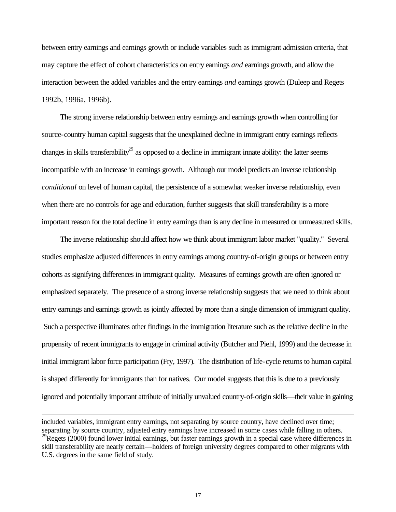between entry earnings and earnings growth or include variables such as immigrant admission criteria, that may capture the effect of cohort characteristics on entry earnings *and* earnings growth, and allow the interaction between the added variables and the entry earnings *and* earnings growth (Duleep and Regets 1992b, 1996a, 1996b).

The strong inverse relationship between entry earnings and earnings growth when controlling for source-country human capital suggests that the unexplained decline in immigrant entry earnings reflects changes in skills transferability<sup>29</sup> as opposed to a decline in immigrant innate ability: the latter seems incompatible with an increase in earnings growth. Although our model predicts an inverse relationship *conditional* on level of human capital, the persistence of a somewhat weaker inverse relationship, even when there are no controls for age and education, further suggests that skill transferability is a more important reason for the total decline in entry earnings than is any decline in measured or unmeasured skills.

The inverse relationship should affect how we think about immigrant labor market "quality." Several studies emphasize adjusted differences in entry earnings among country-of-origin groups or between entry cohorts as signifying differences in immigrant quality. Measures of earnings growth are often ignored or emphasized separately. The presence of a strong inverse relationship suggests that we need to think about entry earnings and earnings growth as jointly affected by more than a single dimension of immigrant quality. Such a perspective illuminates other findings in the immigration literature such as the relative decline in the propensity of recent immigrants to engage in criminal activity (Butcher and Piehl, 1999) and the decrease in initial immigrant labor force participation (Fry, 1997). The distribution of life-cycle returns to human capital is shaped differently for immigrants than for natives. Our model suggests that this is due to a previously ignored and potentially important attribute of initially unvalued country-of-origin skills—their value in gaining

j

included variables, immigrant entry earnings, not separating by source country, have declined over time; separating by source country, adjusted entry earnings have increased in some cases while falling in others.  $^{29}$ Regets (2000) found lower initial earnings, but faster earnings growth in a special case where differences in skill transferability are nearly certain—holders of foreign university degrees compared to other migrants with U.S. degrees in the same field of study.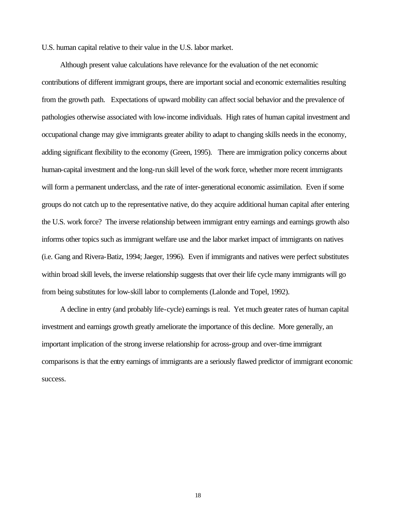U.S. human capital relative to their value in the U.S. labor market.

Although present value calculations have relevance for the evaluation of the net economic contributions of different immigrant groups, there are important social and economic externalities resulting from the growth path. Expectations of upward mobility can affect social behavior and the prevalence of pathologies otherwise associated with low-income individuals. High rates of human capital investment and occupational change may give immigrants greater ability to adapt to changing skills needs in the economy, adding significant flexibility to the economy (Green, 1995). There are immigration policy concerns about human-capital investment and the long-run skill level of the work force, whether more recent immigrants will form a permanent underclass, and the rate of inter-generational economic assimilation. Even if some groups do not catch up to the representative native, do they acquire additional human capital after entering the U.S. work force? The inverse relationship between immigrant entry earnings and earnings growth also informs other topics such as immigrant welfare use and the labor market impact of immigrants on natives (i.e. Gang and Rivera-Batiz, 1994; Jaeger, 1996). Even if immigrants and natives were perfect substitutes within broad skill levels, the inverse relationship suggests that over their life cycle many immigrants will go from being substitutes for low-skill labor to complements (Lalonde and Topel, 1992).

A decline in entry (and probably life-cycle) earnings is real. Yet much greater rates of human capital investment and earnings growth greatly ameliorate the importance of this decline. More generally, an important implication of the strong inverse relationship for across-group and over-time immigrant comparisons is that the entry earnings of immigrants are a seriously flawed predictor of immigrant economic success.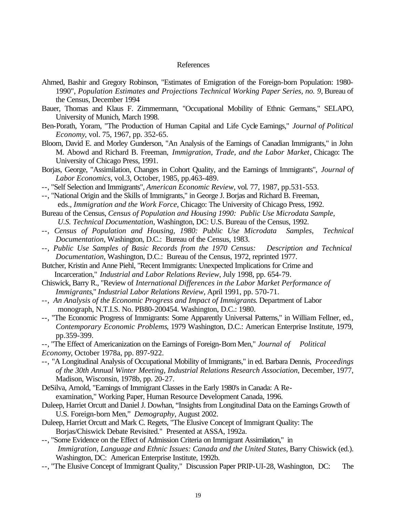#### References

- Ahmed, Bashir and Gregory Robinson, "Estimates of Emigration of the Foreign-born Population: 1980- 1990", *Population Estimates and Projections Technical Working Paper Series, no. 9*, Bureau of the Census, December 1994
- Bauer, Thomas and Klaus F. Zimmermann, "Occupational Mobility of Ethnic Germans," SELAPO, University of Munich, March 1998.
- Ben-Porath, Yoram, "The Production of Human Capital and Life Cycle Earnings," *Journal of Political Economy*, vol. 75, 1967, pp. 352-65.
- Bloom, David E. and Morley Gunderson, "An Analysis of the Earnings of Canadian Immigrants," in John M. Abowd and Richard B. Freeman, *Immigration, Trade, and the Labor Market*, Chicago: The University of Chicago Press, 1991.
- Borjas, George, "Assimilation, Changes in Cohort Quality, and the Earnings of Immigrants", *Journal of Labor Economics*, vol.3, October, 1985, pp.463-489.
- --, "Self Selection and Immigrants", *American Economic Review*, vol. 77, 1987, pp.531-553.
- --, "National Origin and the Skills of Immigrants," in George J. Borjas and Richard B. Freeman, eds., *Immigration and the Work Force*, Chicago: The University of Chicago Press, 1992.
- Bureau of the Census, *Census of Population and Housing 1990: Public Use Microdata Sample, U.S. Technical Documentation*, Washington, DC: U.S. Bureau of the Census, 1992.
- --, *Census of Population and Housing, 1980: Public Use Microdata Samples, Technical Documentation*, Washington, D.C.: Bureau of the Census, 1983.
- --, *Public Use Samples of Basic Records from the 1970 Census: Description and Technical Documentation*, Washington, D.C.: Bureau of the Census, 1972, reprinted 1977.

Butcher, Kristin and Anne Piehl, "Recent Immigrants: Unexpected Implications for Crime and Incarceration," *Industrial and Labor Relations Review*, July 1998, pp. 654-79.

- Chiswick, Barry R., "Review of *International Differences in the Labor Market Performance of Immigrants*," *Industrial Labor Relations Review*, April 1991, pp. 570-71.
- --, *An Analysis of the Economic Progress and Impact of Immigrants*. Department of Labor monograph, N.T.I.S. No. PB80-200454. Washington, D.C.: 1980.
- --, "The Economic Progress of Immigrants: Some Apparently Universal Patterns," in William Fellner, ed., *Contemporary Economic Problems*, 1979 Washington, D.C.: American Enterprise Institute, 1979, pp.359-399.
- --, "The Effect of Americanization on the Earnings of Foreign-Born Men," *Journal of Political Economy*, October 1978a, pp. 897-922.
- --, "A Longitudinal Analysis of Occupational Mobility of Immigrants," in ed. Barbara Dennis, *Proceedings of the 30th Annual Winter Meeting, Industrial Relations Research Association*, December, 1977, Madison, Wisconsin, 1978b, pp. 20-27.
- DeSilva, Arnold, "Earnings of Immigrant Classes in the Early 1980's in Canada: A Reexamination," Working Paper, Human Resource Development Canada, 1996.
- Duleep, Harriet Orcutt and Daniel J. Dowhan, "Insights from Longitudinal Data on the Earnings Growth of U.S. Foreign-born Men," *Demography*, August 2002.
- Duleep, Harriet Orcutt and Mark C. Regets, "The Elusive Concept of Immigrant Quality: The Borjas/Chiswick Debate Revisited." Presented at ASSA, 1992a.
- --, "Some Evidence on the Effect of Admission Criteria on Immigrant Assimilation," in  *Immigration, Language and Ethnic Issues: Canada and the United States*, Barry Chiswick (ed.). Washington, DC: American Enterprise Institute, 1992b.
- --, "The Elusive Concept of Immigrant Quality," Discussion Paper PRIP-UI-28, Washington, DC: The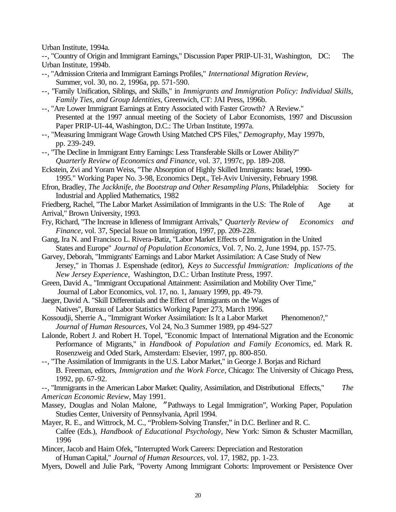Urban Institute, 1994a.

--, "Country of Origin and Immigrant Earnings," Discussion Paper PRIP-UI-31, Washington, DC: The Urban Institute, 1994b.

- --, "Admission Criteria and Immigrant Earnings Profiles," *International Migration Review*, Summer, vol. 30, no. 2, 1996a, pp. 571-590.
- --, "Family Unification, Siblings, and Skills," in *Immigrants and Immigration Policy: Individual Skills, Family Ties, and Group Identities*, Greenwich, CT: JAI Press, 1996b.
- --, "Are Lower Immigrant Earnings at Entry Associated with Faster Growth? A Review." Presented at the 1997 annual meeting of the Society of Labor Economists, 1997 and Discussion Paper PRIP-UI-44, Washington, D.C.: The Urban Institute, 1997a.
- --, "Measuring Immigrant Wage Growth Using Matched CPS Files," *Demography*, May 1997b, pp. 239-249.
- --, "The Decline in Immigrant Entry Earnings: Less Transferable Skills or Lower Ability?" *Quarterly Review of Economics and Finance*, vol. 37, 1997c, pp. 189-208.
- Eckstein, Zvi and Yoram Weiss, "The Absorption of Highly Skilled Immigrants: Israel, 1990- 1995." Working Paper No. 3-98, Economics Dept., Tel-Aviv University, February 1998.
- Efron, Bradley, *The Jackknife, the Bootstrap and Other Resampling Plans*, Philadelphia: Society for Industrial and Applied Mathematics, 1982
- Friedberg, Rachel, "The Labor Market Assimilation of Immigrants in the U.S: The Role of Age at
- Arrival," Brown University, 1993.
- Fry, Richard, "The Increase in Idleness of Immigrant Arrivals," *Quarterly Review of Economics and Finance*, vol. 37, Special Issue on Immigration, 1997, pp. 209-228.
- Gang, Ira N. and Francisco L. Rivera-Batiz, "Labor Market Effects of Immigration in the United States and Europe" *Journal of Population Economics*, Vol. 7, No. 2, June 1994, pp. 157-75.
- Garvey, Deborah, "Immigrants' Earnings and Labor Market Assimilation: A Case Study of New Jersey," in Thomas J. Espenshade (editor), *Keys to Successful Immigration: Implications of the New Jersey Experience*, Washington, D.C.: Urban Institute Press, 1997.

Green, David A., "Immigrant Occupational Attainment: Assimilation and Mobility Over Time," Journal of Labor Economics, vol. 17, no. 1, January 1999, pp. 49-79.

- Jaeger, David A. "Skill Differentials and the Effect of Immigrants on the Wages of Natives", Bureau of Labor Statistics Working Paper 273, March 1996.
- Kossoudji, Sherrie A., "Immigrant Worker Assimilation: Is It a Labor Market Phenomenon?," *Journal of Human Resources*, Vol 24, No.3 Summer 1989, pp 494-527
- Lalonde, Robert J. and Robert H. Topel, "Economic Impact of International Migration and the Economic Performance of Migrants," in *Handbook of Population and Family Economics*, ed. Mark R. Rosenzweig and Oded Stark, Amsterdam: Elsevier, 1997, pp. 800-850.
- --, "The Assimilation of Immigrants in the U.S. Labor Market," in George J. Borjas and Richard B. Freeman, editors, *Immigration and the Work Force*, Chicago: The University of Chicago Press, 1992, pp. 67-92.

--, "Immigrants in the American Labor Market: Quality, Assimilation, and Distributional Effects," *The American Economic Review*, May 1991.

- Massey, Douglas and Nolan Malone, "Pathways to Legal Immigration", Working Paper, Population Studies Center, University of Pennsylvania, April 1994.
- Mayer, R. E., and Wittrock, M. C., "Problem-Solving Transfer," in D.C. Berliner and R. C. Calfee (Eds.), *Handbook of Educational Psychology*, New York: Simon & Schuster Macmillan, 1996
- Mincer, Jacob and Haim Ofek, "Interrupted Work Careers: Depreciation and Restoration of Human Capital," *Journal of Human Resources*, vol. 17, 1982, pp. 1-23.
- Myers, Dowell and Julie Park, "Poverty Among Immigrant Cohorts: Improvement or Persistence Over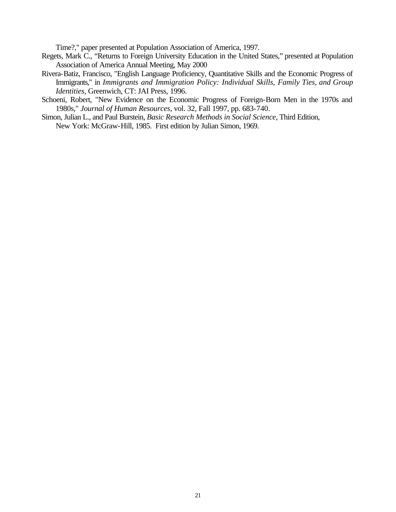Time?," paper presented at Population Association of America, 1997.

- Regets, Mark C., "Returns to Foreign University Education in the United States," presented at Population Association of America Annual Meeting, May 2000
- Rivera-Batiz, Francisco, "English Language Proficiency, Quantitative Skills and the Economic Progress of Immigrants," in *Immigrants and Immigration Policy: Individual Skills, Family Ties, and Group Identities*, Greenwich, CT: JAI Press, 1996.
- Schoeni, Robert, "New Evidence on the Economic Progress of Foreign-Born Men in the 1970s and 1980s," *Journal of Human Resources*, vol. 32, Fall 1997, pp. 683-740.
- Simon, Julian L., and Paul Burstein, *Basic Research Methods in Social Science*, Third Edition, New York: McGraw-Hill, 1985. First edition by Julian Simon, 1969.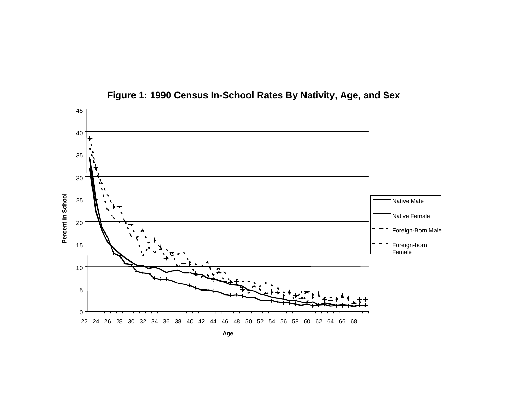

**Figure 1: 1990 Census In-School Rates By Nativity, Age, and Sex**

**Age**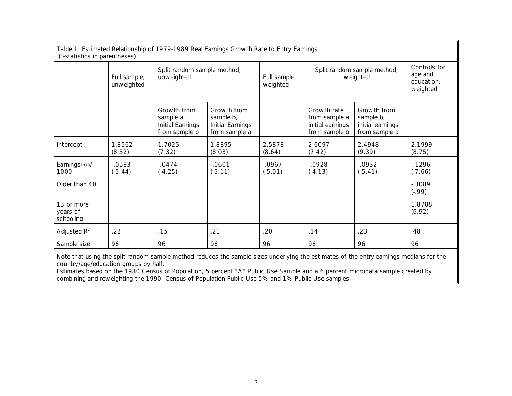| Table 1: Estimated Relationship of 1979-1989 Real Earnings Growth Rate to Entry Earnings<br>(t-statistics in parentheses) |                            |                                                               |                                                               |                         |                                                                    |                                                               |                                                   |
|---------------------------------------------------------------------------------------------------------------------------|----------------------------|---------------------------------------------------------------|---------------------------------------------------------------|-------------------------|--------------------------------------------------------------------|---------------------------------------------------------------|---------------------------------------------------|
|                                                                                                                           | Full sample,<br>unweighted | Split random sample method,<br>unweighted                     |                                                               | Full sample<br>weighted | Split random sample method,<br>weighted                            |                                                               | Controls for<br>age and<br>education,<br>weighted |
|                                                                                                                           |                            | Growth from<br>sample a,<br>Initial Earnings<br>from sample b | Growth from<br>sample b,<br>Initial Earnings<br>from sample a |                         | Growth rate<br>from sample a,<br>initial earnings<br>from sample b | Growth from<br>sample b,<br>initial earnings<br>from sample a |                                                   |
| Intercept                                                                                                                 | 1.8562<br>(8.52)           | 1.7025<br>(7.32)                                              | 1.8895<br>(8.03)                                              | 2.5878<br>(8.64)        | 2.6097<br>(7.42)                                                   | 2.4948<br>(9.39)                                              | 2.1999<br>(8.75)                                  |
| Earnings1979/<br>1000                                                                                                     | $-0583$<br>$(-5.44)$       | $-.0474$<br>$(-4.25)$                                         | $-0601$<br>$(-5.11)$                                          | $-0.0967$<br>$(-5.01)$  | $-0928$<br>$(-4.13)$                                               | $-0.0932$<br>$(-5.41)$                                        | $-1296$<br>$(-7.66)$                              |
| Older than 40                                                                                                             |                            |                                                               |                                                               |                         |                                                                    |                                                               | $-0.3089$<br>$(-.99)$                             |
| 13 or more<br>years of<br>schooling                                                                                       |                            |                                                               |                                                               |                         |                                                                    |                                                               | 1.8788<br>(6.92)                                  |
| Adjusted $R^2$                                                                                                            | .23                        | .15                                                           | .21                                                           | .20                     | .14                                                                | .23                                                           | .48                                               |
| Sample size                                                                                                               | 96                         | 96                                                            | 96                                                            | 96                      | 96                                                                 | 96                                                            | 96                                                |

Note that using the split random sample method reduces the sample sizes underlying the estimates of the entry-earnings medians for the country/age/education groups by half.

Estimates based on the 1980 Census of Population, 5 percent "A" Public Use Sample and a 6 percent microdata sample created by combining and reweighting the 1990 Census of Population Public Use 5% and 1% Public Use samples.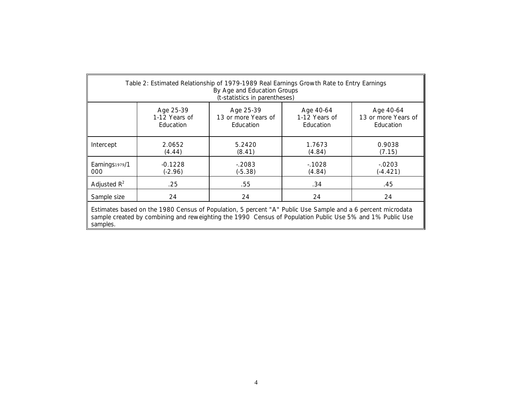| Table 2: Estimated Relationship of 1979-1989 Real Earnings Growth Rate to Entry Earnings<br>By Age and Education Groups<br>(t-statistics in parentheses)                                                                             |                                         |                                               |                                         |                                               |  |  |
|--------------------------------------------------------------------------------------------------------------------------------------------------------------------------------------------------------------------------------------|-----------------------------------------|-----------------------------------------------|-----------------------------------------|-----------------------------------------------|--|--|
|                                                                                                                                                                                                                                      | Age 25-39<br>1-12 Years of<br>Education | Age 25-39<br>13 or more Years of<br>Education | Age 40-64<br>1-12 Years of<br>Education | Age 40-64<br>13 or more Years of<br>Education |  |  |
| Intercept                                                                                                                                                                                                                            | 2.0652<br>(4.44)                        | 5.2420<br>(8.41)                              | 1.7673<br>(4.84)                        | 0.9038<br>(7.15)                              |  |  |
| Earnings1979/1<br>000                                                                                                                                                                                                                | $-0.1228$<br>(-2.96)                    | $-2083$<br>$(-5.38)$                          | $-1028$<br>(4.84)                       | $-0.0203$<br>$(-4.421)$                       |  |  |
| Adjusted $R^2$                                                                                                                                                                                                                       | .25                                     | .55                                           | .34                                     | .45                                           |  |  |
| Sample size                                                                                                                                                                                                                          | 24                                      | 24                                            | 24                                      | 24                                            |  |  |
| Estimates based on the 1980 Census of Population, 5 percent "A" Public Use Sample and a 6 percent microdata<br>sample created by combining and reweighting the 1990 Census of Population Public Use 5% and 1% Public Use<br>samples. |                                         |                                               |                                         |                                               |  |  |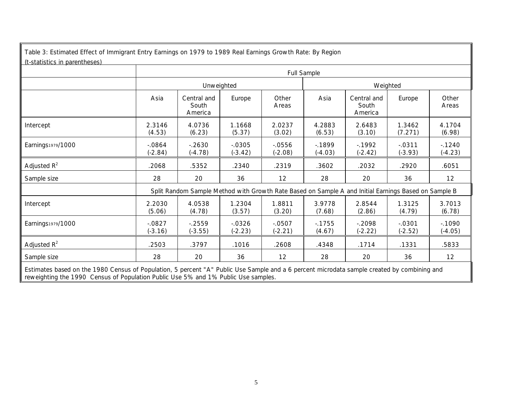| Table 3: Estimated Effect of Immigrant Entry Earnings on 1979 to 1989 Real Earnings Growth Rate: By Region<br>(t-statistics in parentheses) |                        |                                 |                        |                      |                      |                                                                                                      |                        |                      |  |
|---------------------------------------------------------------------------------------------------------------------------------------------|------------------------|---------------------------------|------------------------|----------------------|----------------------|------------------------------------------------------------------------------------------------------|------------------------|----------------------|--|
|                                                                                                                                             |                        | Full Sample                     |                        |                      |                      |                                                                                                      |                        |                      |  |
|                                                                                                                                             |                        | Unweighted                      |                        |                      |                      | Weighted                                                                                             |                        |                      |  |
|                                                                                                                                             | Asia                   | Central and<br>South<br>America | Europe                 | Other<br>Areas       | Asia                 | Central and<br>South<br>America                                                                      | Europe                 | Other<br>Areas       |  |
| Intercept                                                                                                                                   | 2.3146<br>(4.53)       | 4.0736<br>(6.23)                | 1.1668<br>(5.37)       | 2.0237<br>(3.02)     | 4.2883<br>(6.53)     | 2.6483<br>(3.10)                                                                                     | 1.3462<br>(7.271)      | 4.1704<br>(6.98)     |  |
| Earnings1979/1000                                                                                                                           | $-0.0864$<br>$(-2.84)$ | $-2630$<br>$(-4.78)$            | $-0.0305$<br>$(-3.42)$ | $-0556$<br>$(-2.08)$ | $-1899$<br>$(-4.03)$ | $-1992$<br>$(-2.42)$                                                                                 | $-0.0311$<br>$(-3.93)$ | $-1240$<br>$(-4.23)$ |  |
| Adjusted $R^2$                                                                                                                              | .2068                  | .5352                           | .2340                  | .2319                | .3602                | .2032                                                                                                | .2920                  | .6051                |  |
| Sample size                                                                                                                                 | 28                     | 20                              | 36                     | 12                   | 28                   | 20                                                                                                   | 36                     | 12                   |  |
|                                                                                                                                             |                        |                                 |                        |                      |                      | Split Random Sample Method with Growth Rate Based on Sample A and Initial Earnings Based on Sample B |                        |                      |  |
| Intercept                                                                                                                                   | 2.2030<br>(5.06)       | 4.0538<br>(4.78)                | 1.2304<br>(3.57)       | 1.8811<br>(3.20)     | 3.9778<br>(7.68)     | 2.8544<br>(2.86)                                                                                     | 1.3125<br>(4.79)       | 3.7013<br>(6.78)     |  |
| Earnings1979/1000                                                                                                                           | $-0827$<br>$(-3.16)$   | $-2559$<br>$(-3.55)$            | $-0.0326$<br>$(-2.23)$ | $-0507$<br>$(-2.21)$ | $-1755$<br>(4.67)    | $-2098$<br>$(-2.22)$                                                                                 | $-0.0301$<br>$(-2.52)$ | $-1090$<br>$(-4.05)$ |  |
| Adjusted $R^2$                                                                                                                              | .2503                  | .3797                           | .1016                  | .2608                | .4348                | .1714                                                                                                | .1331                  | .5833                |  |
| Sample size                                                                                                                                 | 28                     | 20                              | 36                     | 12                   | 28                   | 20                                                                                                   | 36                     | 12                   |  |

Estimates based on the 1980 Census of Population, 5 percent "A" Public Use Sample and a 6 percent microdata sample created by combining and reweighting the 1990 Census of Population Public Use 5% and 1% Public Use samples.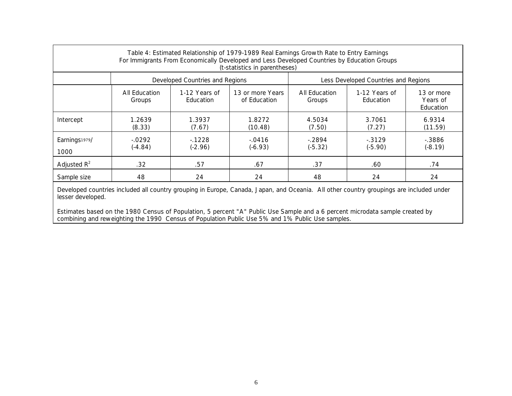| Table 4: Estimated Relationship of 1979-1989 Real Earnings Growth Rate to Entry Earnings<br>For Immigrants From Economically Developed and Less Developed Countries by Education Groups<br>(t-statistics in parentheses) |                         |                                   |                                  |                         |                                      |                                     |  |
|--------------------------------------------------------------------------------------------------------------------------------------------------------------------------------------------------------------------------|-------------------------|-----------------------------------|----------------------------------|-------------------------|--------------------------------------|-------------------------------------|--|
|                                                                                                                                                                                                                          |                         | Developed Countries and Regions   |                                  |                         | Less Developed Countries and Regions |                                     |  |
|                                                                                                                                                                                                                          | All Education<br>Groups | 1-12 Years of<br><b>Education</b> | 13 or more Years<br>of Education | All Education<br>Groups | 1-12 Years of<br>Education           | 13 or more<br>Years of<br>Education |  |
| Intercept                                                                                                                                                                                                                | 1.2639<br>(8.33)        | 1.3937<br>(7.67)                  | 1.8272<br>(10.48)                | 4.5034<br>(7.50)        | 3.7061<br>(7.27)                     | 6.9314<br>(11.59)                   |  |
| Earnings1979/<br>1000                                                                                                                                                                                                    | $-0292$<br>$(-4.84)$    | $-1228$<br>$(-2.96)$              | $-0416$<br>$(-6.93)$             | $-2894$<br>$(-5.32)$    | $-.3129$<br>$(-5.90)$                | $-0.3886$<br>$(-8.19)$              |  |
| Adjusted $R^2$                                                                                                                                                                                                           | .32                     | .57                               | .67                              | .37                     | .60                                  | .74                                 |  |
| Sample size                                                                                                                                                                                                              | 48                      | 24                                | 24                               | 48                      | 24                                   | 24                                  |  |

Developed countries included all country grouping in Europe, Canada, Japan, and Oceania. All other country groupings are included under lesser developed.

Estimates based on the 1980 Census of Population, 5 percent "A" Public Use Sample and a 6 percent microdata sample created by combining and reweighting the 1990 Census of Population Public Use 5% and 1% Public Use samples.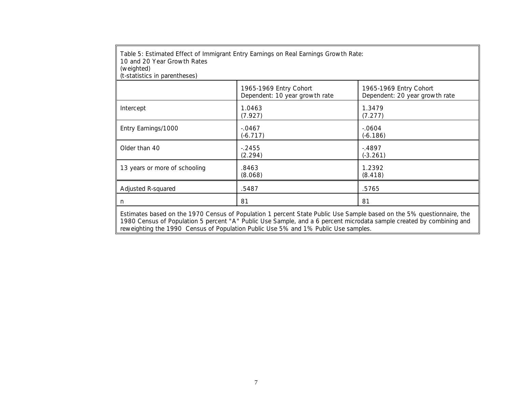| 10 and 20 Year Growth Rates<br>(weighted)<br>(t-statistics in parentheses) | Table 5: Estimated Effect of Immigrant Entry Earnings on Real Earnings Growth Rate:                                                                                                                                                                                                                                                 |                                                          |
|----------------------------------------------------------------------------|-------------------------------------------------------------------------------------------------------------------------------------------------------------------------------------------------------------------------------------------------------------------------------------------------------------------------------------|----------------------------------------------------------|
|                                                                            | 1965-1969 Entry Cohort<br>Dependent: 10 year growth rate                                                                                                                                                                                                                                                                            | 1965-1969 Entry Cohort<br>Dependent: 20 year growth rate |
| Intercept                                                                  | 1.0463<br>(7.927)                                                                                                                                                                                                                                                                                                                   | 1.3479<br>(7.277)                                        |
| Entry Earnings/1000                                                        | $-0.0467$<br>$(-6.717)$                                                                                                                                                                                                                                                                                                             | $-0604$<br>(-6.186)                                      |
| Older than 40                                                              | $-2455$<br>(2.294)                                                                                                                                                                                                                                                                                                                  | $-4897$<br>$(-3.261)$                                    |
| 13 years or more of schooling                                              | .8463<br>(8.068)                                                                                                                                                                                                                                                                                                                    | 1.2392<br>(8.418)                                        |
| Adjusted R-squared                                                         | .5487                                                                                                                                                                                                                                                                                                                               | .5765                                                    |
| n.                                                                         | 81                                                                                                                                                                                                                                                                                                                                  | 81                                                       |
|                                                                            | Estimates based on the 1970 Census of Population 1 percent State Public Use Sample based on the 5% questionnaire, the<br>1980 Census of Population 5 percent "A" Public Use Sample, and a 6 percent microdata sample created by combining and<br>reweighting the 1990 Census of Population Public Use 5% and 1% Public Use samples. |                                                          |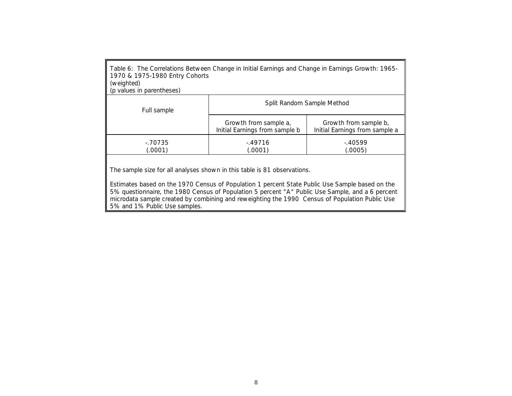| Table 6: The Correlations Between Change in Initial Earnings and Change in Earnings Growth: 1965-<br>1970 & 1975-1980 Entry Cohorts<br>(weighted)<br>(p values in parentheses)                                                                                                  |                                                         |                                                         |  |  |  |
|---------------------------------------------------------------------------------------------------------------------------------------------------------------------------------------------------------------------------------------------------------------------------------|---------------------------------------------------------|---------------------------------------------------------|--|--|--|
| Split Random Sample Method<br>Full sample                                                                                                                                                                                                                                       |                                                         |                                                         |  |  |  |
|                                                                                                                                                                                                                                                                                 | Growth from sample a,<br>Initial Earnings from sample b | Growth from sample b,<br>Initial Earnings from sample a |  |  |  |
| $-70735$<br>(.0001)                                                                                                                                                                                                                                                             | $-49716$<br>(.0001)                                     | -.40599<br>(.0005)                                      |  |  |  |
| The sample size for all analyses shown in this table is 81 observations.<br>Estimates based on the 1970 Census of Population 1 percent State Public Use Sample based on the<br>5% questionnaire, the 1980 Census of Population 5 percent "A" Public Use Sample, and a 6 percent |                                                         |                                                         |  |  |  |

microdata sample created by combining and reweighting the 1990 Census of Population Public Use

5% and 1% Public Use samples.

8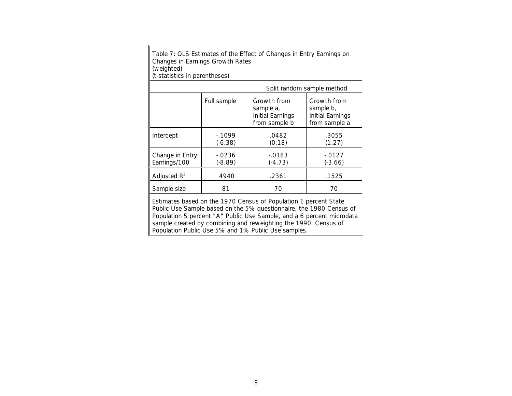| Table 7: OLS Estimates of the Effect of Changes in Entry Earnings on |
|----------------------------------------------------------------------|
| Changes in Earnings Growth Rates                                     |
| (weighted)                                                           |
| .                                                                    |

(t-statistics in parentheses) Split random sample method Full sample | Growth from sample a, Initial Earnings from sample b Growth from sample b, Initial Earnings from sample a  $Intercept$   $-.1099$ (-6.38) .0482 (0.18) .3055  $(1.27)$ Change in Entry Earnings/100 -.0236 (-8.89) -.0183 (-4.73) -.0127 (-3.66) Adjusted  $R^2$ .4940 .2361 .1525

Sample size | 81 | 70 | 70

Estimates based on the 1970 Census of Population 1 percent State Public Use Sample based on the 5% questionnaire, the 1980 Census of Population 5 percent "A" Public Use Sample, and a 6 percent microdata sample created by combining and reweighting the 1990 Census of Population Public Use 5% and 1% Public Use samples.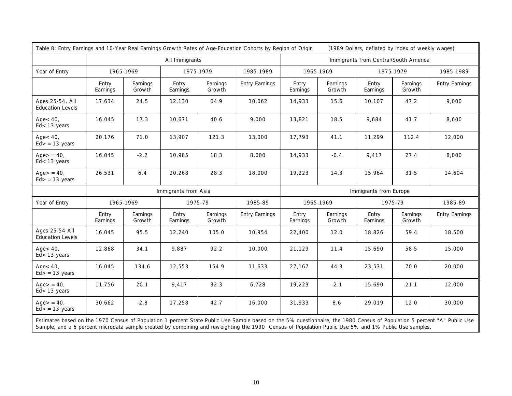|                                            | Table 8: Entry Earnings and 10-Year Real Earnings Growth Rates of Age-Education Cohorts by Region of Origin<br>(1989 Dollars, deflated by index of weekly wages) |                    |                      |                    |                                       |                   |                    |                        |                    |                       |
|--------------------------------------------|------------------------------------------------------------------------------------------------------------------------------------------------------------------|--------------------|----------------------|--------------------|---------------------------------------|-------------------|--------------------|------------------------|--------------------|-----------------------|
|                                            | All Immigrants                                                                                                                                                   |                    |                      |                    | Immigrants from Central/South America |                   |                    |                        |                    |                       |
| Year of Entry                              |                                                                                                                                                                  | 1965-1969          | 1975-1979            |                    | 1985-1989                             | 1965-1969         |                    | 1975-1979              |                    | 1985-1989             |
|                                            | Entry<br>Earnings                                                                                                                                                | Earnings<br>Growth | Entry<br>Earnings    | Earnings<br>Growth | <b>Entry Earnings</b>                 | Entry<br>Earnings | Earnings<br>Growth | Entry<br>Earnings      | Earnings<br>Growth | <b>Entry Earnings</b> |
| Ages 25-54, All<br><b>Education Levels</b> | 17,634                                                                                                                                                           | 24.5               | 12,130               | 64.9               | 10,062                                | 14,933            | 15.6               | 10,107                 | 47.2               | 9,000                 |
| $Aqe < 40$ ,<br>$Ed < 13$ years            | 16,045                                                                                                                                                           | 17.3               | 10,671               | 40.6               | 9,000                                 | 13,821            | 18.5               | 9,684                  | 41.7               | 8,600                 |
| $Age < 40$ ,<br>$Ed$ > = 13 years          | 20,176                                                                                                                                                           | 71.0               | 13,907               | 121.3              | 13,000                                | 17,793            | 41.1               | 11,299                 | 112.4              | 12,000                |
| $Age = 40,$<br>$Ed < 13$ years             | 16,045                                                                                                                                                           | $-2.2$             | 10,985               | 18.3               | 8,000                                 | 14,933            | $-0.4$             | 9,417                  | 27.4               | 8,000                 |
| $Age = 40$ ,<br>$Ed$ > = 13 years          | 26,531                                                                                                                                                           | 6.4                | 20,268               | 28.3               | 18,000                                | 19,223            | 14.3               | 15,964                 | 31.5               | 14,604                |
|                                            |                                                                                                                                                                  |                    | Immigrants from Asia |                    |                                       |                   |                    | Immigrants from Europe |                    |                       |
| Year of Entry                              |                                                                                                                                                                  | 1965-1969          | 1975-79              |                    | 1985-89                               | 1965-1969         |                    | 1975-79                |                    | 1985-89               |
|                                            | Entry<br>Earnings                                                                                                                                                | Earnings<br>Growth | Entry<br>Earnings    | Earnings<br>Growth | <b>Entry Earnings</b>                 | Entry<br>Earnings | Earnings<br>Growth | Entry<br>Earnings      | Earnings<br>Growth | <b>Entry Earnings</b> |
| Ages 25-54 All<br><b>Education Levels</b>  | 16,045                                                                                                                                                           | 95.5               | 12,240               | 105.0              | 10,954                                | 22,400            | 12.0               | 18,826                 | 59.4               | 18,500                |
| $Aqe < 40$ ,<br>$Ed < 13$ years            | 12,868                                                                                                                                                           | 34.1               | 9,887                | 92.2               | 10,000                                | 21,129            | 11.4               | 15,690                 | 58.5               | 15,000                |
| $Aqe<40$ ,<br>$Ed$ > = 13 years            | 16,045                                                                                                                                                           | 134.6              | 12,553               | 154.9              | 11,633                                | 27,167            | 44.3               | 23,531                 | 70.0               | 20,000                |
| $Age = 40$ ,<br>$Ed < 13$ years            | 11,756                                                                                                                                                           | 20.1               | 9,417                | 32.3               | 6,728                                 | 19,223            | $-2.1$             | 15,690                 | 21.1               | 12,000                |
| $Age = 40$ ,<br>$Ed$ > = 13 years          | 30,662                                                                                                                                                           | $-2.8$             | 17,258               | 42.7               | 16,000                                | 31,933            | 8.6                | 29,019                 | 12.0               | 30,000                |
|                                            |                                                                                                                                                                  |                    |                      |                    |                                       |                   |                    |                        |                    |                       |

Estimates based on the 1970 Census of Population 1 percent State Public Use Sample based on the 5% questionnaire, the 1980 Census of Population 5 percent "A" Public Use Sample, and a 6 percent microdata sample created by combining and reweighting the 1990 Census of Population Public Use 5% and 1% Public Use samples.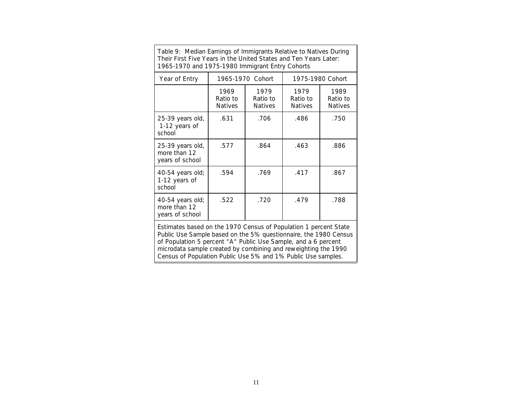| Table 9: Median Earnings of Immigrants Relative to Natives During<br>Their First Five Years in the United States and Ten Years Later:<br>1965-1970 and 1975-1980 Immigrant Entry Cohorts |                                    |                                    |                                    |                                    |  |  |
|------------------------------------------------------------------------------------------------------------------------------------------------------------------------------------------|------------------------------------|------------------------------------|------------------------------------|------------------------------------|--|--|
| Year of Entry                                                                                                                                                                            |                                    | 1965-1970 Cohort                   |                                    | 1975-1980 Cohort                   |  |  |
|                                                                                                                                                                                          | 1969<br>Ratio to<br><b>Natives</b> | 1979<br>Ratio to<br><b>Natives</b> | 1979<br>Ratio to<br><b>Natives</b> | 1989<br>Ratio to<br><b>Natives</b> |  |  |
| 25-39 years old,<br>1-12 years of<br>school                                                                                                                                              | .631                               | .706                               | .486                               | .750                               |  |  |
| 25-39 years old,<br>more than 12<br>years of school                                                                                                                                      | .577                               | .864                               | .463                               | .886                               |  |  |
| 40-54 years old;<br>1-12 years of<br>school                                                                                                                                              | .594                               | .769                               | .417                               | .867                               |  |  |
| 40-54 years old;<br>more than 12<br>years of school                                                                                                                                      | .522                               | .720                               | .479                               | .788                               |  |  |

Estimates based on the 1970 Census of Population 1 percent State Public Use Sample based on the 5% questionnaire, the 1980 Census of Population 5 percent "A" Public Use Sample, and a 6 percent microdata sample created by combining and reweighting the 1990 Census of Population Public Use 5% and 1% Public Use samples.